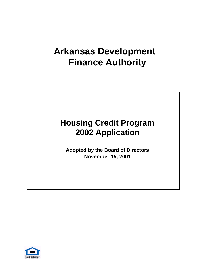# **Arkansas Development Finance Authority**

## **Housing Credit Program 2002 Application**

**Adopted by the Board of Directors November 15, 2001**

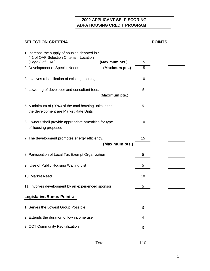### **2002 APPLICANT SELF-SCORING ADFA HOUSING CREDIT PROGRAM**

| <b>SELECTION CRITERIA</b>                                                                                     |                |     | <b>POINTS</b> |  |
|---------------------------------------------------------------------------------------------------------------|----------------|-----|---------------|--|
| 1. Increase the supply of housing denoted in :<br># 1 of QAP Selection Criteria - Location<br>(Page 8 of QAP) | (Maximum pts.) | 15  |               |  |
| 2. Development of Special Needs                                                                               | (Maximum pts.) | 15  |               |  |
| 3. Involves rehabilitation of existing housing                                                                |                | 10  |               |  |
| 4. Lowering of developer and consultant fees.                                                                 |                | 5   |               |  |
|                                                                                                               | (Maximum pts.) |     |               |  |
| 5. A minimum of (20%) of the total housing units in the<br>the development are Market Rate Units              |                | 5   |               |  |
| 6. Owners shall provide appropriate amenities for type<br>of housing proposed                                 |                | 10  |               |  |
| 7. The development promotes energy efficiency.<br>(Maximum pts.)                                              |                |     |               |  |
|                                                                                                               |                |     |               |  |
| 8. Participation of Local Tax Exempt Organization                                                             |                | 5   |               |  |
| 9. Use of Public Housing Waiting List                                                                         |                | 5   |               |  |
| 10. Market Need                                                                                               |                | 10  |               |  |
| 11. Involves development by an experienced sponsor                                                            |                | 5   |               |  |
| <b>Legislative/Bonus Points:</b>                                                                              |                |     |               |  |
| 1. Serves the Lowest Group Possible                                                                           |                | 3   |               |  |
| 2. Extends the duration of low income use                                                                     |                | 4   |               |  |
| 3. QCT Community Revitalization                                                                               |                | 3   |               |  |
|                                                                                                               | Total:         | 110 |               |  |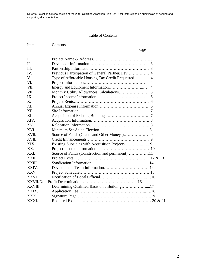Refer to Selection Criteria section of the 2002 Qualified Allocation Plan (QAP) for instructions on submission of scoring and supporting documentation.

### Table of Contents

| Item | Contents |
|------|----------|
|      |          |

### Page

| I.            |                                                      |
|---------------|------------------------------------------------------|
| Π.            |                                                      |
| Ш.            |                                                      |
| IV.           | Previous Participation of General Partner/Dev 4      |
| V.            | Type of Affordable Housing Tax Credit Requested<br>4 |
| VI.           | 4                                                    |
| VII.          | $\overline{4}$                                       |
| VIII.         |                                                      |
| IX.           |                                                      |
| X.            |                                                      |
| XI.           |                                                      |
| XII.          |                                                      |
| XIII.         |                                                      |
| XIV.          |                                                      |
| XV.           |                                                      |
| XVI.          |                                                      |
| XVII.         |                                                      |
| XVIII.        |                                                      |
| XIX.          | Existing Subsidies with Acquisition Projects9        |
| XX.           |                                                      |
| XXI.          | Source of Funds (Construction and permanent)11       |
| XXII.         |                                                      |
| XXIII.        |                                                      |
| XXIV.         |                                                      |
| XXV.          |                                                      |
| XXVI.         |                                                      |
|               |                                                      |
| <b>XXVIII</b> | Determining Qualified Basis on a Building17          |
| XXIX.         |                                                      |
| XXX.          |                                                      |
| XXXI.         |                                                      |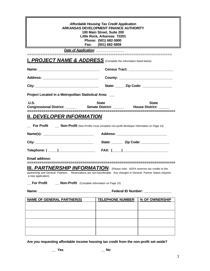| <b>Affordable Housing Tax Credit Application</b><br><b>ARKANSAS DEVELOPMENT FINANCE AUTHORITY</b><br>100 Main Street, Suite 200<br>Little Rock, Arkansas 72201<br>Phone: (501) 682-5900<br>Fax: (501) 682-5859                                                                  |                         |  |                                       |
|---------------------------------------------------------------------------------------------------------------------------------------------------------------------------------------------------------------------------------------------------------------------------------|-------------------------|--|---------------------------------------|
| Date of Application: _______________                                                                                                                                                                                                                                            |                         |  | ___________________________           |
| <b>I. PROJECT NAME &amp; ADDRESS</b> (Complete the information listed below)                                                                                                                                                                                                    |                         |  |                                       |
|                                                                                                                                                                                                                                                                                 |                         |  |                                       |
|                                                                                                                                                                                                                                                                                 |                         |  |                                       |
|                                                                                                                                                                                                                                                                                 |                         |  | State: _____ Zip Code: ______________ |
| Project Located in a Metropolitan Statistical Area: ___                                                                                                                                                                                                                         |                         |  |                                       |
| U.S.                                                                                                                                                                                                                                                                            | <b>State</b>            |  | <b>State</b>                          |
| <b>II. DEVELOPER INFORMATION</b>                                                                                                                                                                                                                                                | --------------          |  |                                       |
| <b>For Profit LET Non-Profit</b> (Non-Profits must complete non-profit developer information on Page 14)                                                                                                                                                                        |                         |  |                                       |
|                                                                                                                                                                                                                                                                                 |                         |  |                                       |
|                                                                                                                                                                                                                                                                                 |                         |  |                                       |
|                                                                                                                                                                                                                                                                                 |                         |  | State: <u>Zip Code: ___________</u>   |
|                                                                                                                                                                                                                                                                                 |                         |  |                                       |
| <b>Email address:</b>                                                                                                                                                                                                                                                           |                         |  |                                       |
| <b>III. PARTNERSHIP INFORMATION:</b> (Please note: ADFA reserves tax credits to the<br>partnership and General Partners. Reservations are non-transferable. Any changes in General Partner Status requires<br>a new application)                                                |                         |  |                                       |
| <b>For Profit Mon-Profit</b> (Complete information on Page 15)                                                                                                                                                                                                                  |                         |  |                                       |
| Federal ID Number: The Second Second Second Second Second Second Second Second Second Second Second Second Second Second Second Second Second Second Second Second Second Second Second Second Second Second Second Second Sec<br>Name: <u>________________________________</u> |                         |  |                                       |
| <b>NAME OF GENERAL PARTNER(S)</b>                                                                                                                                                                                                                                               | <b>TELEPHONE NUMBER</b> |  | % OF OWNERSHIP                        |
|                                                                                                                                                                                                                                                                                 |                         |  |                                       |
|                                                                                                                                                                                                                                                                                 |                         |  |                                       |
|                                                                                                                                                                                                                                                                                 |                         |  |                                       |
|                                                                                                                                                                                                                                                                                 |                         |  |                                       |
|                                                                                                                                                                                                                                                                                 |                         |  |                                       |

**Are you requesting affordable income housing tax credit from the non-profit set-aside?**

**\_\_ Yes \_\_ No**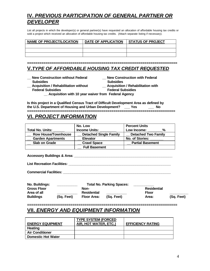### **IV.** *PREVIOUS PARTICIPATION OF GENERAL PARTNER OR DEVELOPER*

List all projects in which the developer(s) or general partner(s) have requested an allocation of affordable housing tax credits or sold a project which received an allocation of affordable housing tax credits. (Attach separate listing if necessary).

| <b>NAME OF PROJECT/LOCATION</b> | <b>DATE OF APPLICATION</b> | <b>STATUS OF PROJECT</b> |
|---------------------------------|----------------------------|--------------------------|
|                                 |                            |                          |
|                                 |                            |                          |
|                                 |                            |                          |

**=========================================================================** 

### **V.***TYPE OF AFFORDABLE HOUSING TAX CREDIT REQUESTED*

**\_\_ New Construction without Federal** 

- **Subsidies**
- **\_\_ Acquisition / Rehabilitation without**
- **Federal Subsidies**

 **\_\_ New Construction with Federal Subsidies**

- **\_\_ Acquisition / Rehabilitation with**
- **Federal Subsidies**

**\_\_ Acquisition with 10 year waiver from Federal Agency**

**Is this project in a Qualified Census Tract of Difficult Development Area as defined by the U.S. Department of Housing and Urban Development? \_\_\_ Yes \_\_\_ No ========================================================================**

### **VI.** *PROJECT INFORMATION*

|                            | No. Low                       | <b>Percent Units</b>       |
|----------------------------|-------------------------------|----------------------------|
| <b>Total No. Units:</b>    | <b>Income Units:</b>          | Low Income:<br>%           |
| <b>Row House/Townhouse</b> | <b>Detached Single Family</b> | <b>Detached Two Family</b> |
| <b>Garden Apartments</b>   | <b>Elevator</b>               | <b>No. of Stories:</b>     |
| Slab on Grade              | <b>Crawl Space</b>            | <b>Partial Basement</b>    |
|                            | <b>Full Basement</b>          |                            |

**Accessory Buildings & Area: \_\_\_\_\_\_\_\_\_\_\_\_\_\_\_\_\_\_\_\_\_\_\_\_\_\_\_\_\_\_\_\_\_\_\_\_\_\_\_\_\_\_\_\_\_\_\_\_\_\_\_\_\_**

| <b>List Recreation Facilities:</b> |
|------------------------------------|
|------------------------------------|

**Commercial Facilities: Commercial Facilities:** 

| No. Buildings:     |            |                    | <b>Total No. Parking Spaces:</b> |                    |            |
|--------------------|------------|--------------------|----------------------------------|--------------------|------------|
| <b>Gross Floor</b> |            | Non-               |                                  | <b>Residential</b> |            |
| Area of all        |            | Residential        |                                  | <b>Floor</b>       |            |
| <b>Buildings</b>   | (Sq. Feet) | <b>Floor Area:</b> | (Sa. Feet)                       | Area:              | (Sq. Feet) |

#### **=========================================================================**

### **VII.** *ENERGY AND EQUIPMENT INFORMATION*

| <b>ENERGY EQUIPMENT</b>   | <b>TYPE SYSTEM (FORCED)</b><br>AIR, HOT WATER, ETC.) | <b>EFFICIENCY RATING</b> |
|---------------------------|------------------------------------------------------|--------------------------|
| <b>Heating</b>            |                                                      |                          |
| <b>Air Conditioner</b>    |                                                      |                          |
| <b>Domestic Hot Water</b> |                                                      |                          |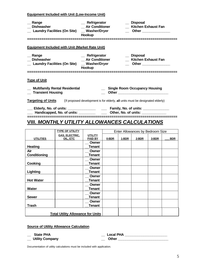| <b>Equipment Included with Unit (Low-Income Unit)</b>                         |                                                    |                                                                                |
|-------------------------------------------------------------------------------|----------------------------------------------------|--------------------------------------------------------------------------------|
| Range<br><b>Dishwasher</b><br>Laundry Facilities (On Site) __ Washer/Dryer    | __ Refrigerator<br>_ Air Conditioner<br>Hookup     | <b>Disposal</b><br>Kitchen Exhaust Fan<br>Other ________________               |
| <b>Equipment Included with Unit (Market Rate Unit)</b>                        |                                                    |                                                                                |
| Range<br><b>Dishwasher</b><br>__ Laundry Facilities (On Site) __ Washer/Dryer | _ Refrigerator<br><b>Air Conditioner</b><br>Hookup | _ Disposal<br>Kitchen Exhaust Fan                                              |
| ===========================<br><b>Type of Unit</b>                            |                                                    |                                                                                |
| <b>Multifamily Rental Residential</b><br><b>Transient Housing</b>             |                                                    | <b>Single Room Occupancy Housing</b>                                           |
| <u>Targeting of Units</u>                                                     |                                                    | (If proposed development is for elderly, all units must be designated elderly) |
|                                                                               |                                                    |                                                                                |

### **VIII.** *MONTHLY UTILITY ALLOWANCES CALCULATIONS*

|                  | <b>TYPE OF UTILITY</b>                   |                |          |       | Enter Allowances by Bedroom Size |       |            |
|------------------|------------------------------------------|----------------|----------|-------|----------------------------------|-------|------------|
|                  | <b>GAS, ELECTRIC,</b>                    | <b>UTILITY</b> |          |       |                                  |       |            |
| <b>UTILITIES</b> | OIL, ETC                                 | <b>PAID BY</b> | $0$ -BDR | 1-BDR | $2-BDR$                          | 3-BDR | <b>BDR</b> |
|                  |                                          | Owner          |          |       |                                  |       |            |
| <b>Heating</b>   |                                          | <b>Tenant</b>  |          |       |                                  |       |            |
| Air              |                                          | Owner          |          |       |                                  |       |            |
| Conditioning     |                                          | Tenant         |          |       |                                  |       |            |
|                  |                                          | Owner          |          |       |                                  |       |            |
| Cooking          |                                          | <b>Tenant</b>  |          |       |                                  |       |            |
|                  |                                          | Owner          |          |       |                                  |       |            |
| Lighting         |                                          | Tenant         |          |       |                                  |       |            |
|                  |                                          | Owner          |          |       |                                  |       |            |
| <b>Hot Water</b> |                                          | Tenant         |          |       |                                  |       |            |
|                  |                                          | Owner          |          |       |                                  |       |            |
| Water            |                                          | <b>Tenant</b>  |          |       |                                  |       |            |
|                  |                                          | Owner          |          |       |                                  |       |            |
| <b>Sewer</b>     |                                          | Tenant         |          |       |                                  |       |            |
|                  |                                          | Owner          |          |       |                                  |       |            |
| <b>Trash</b>     |                                          | <b>Tenant</b>  |          |       |                                  |       |            |
|                  |                                          |                |          |       |                                  |       |            |
|                  | <b>Total Utility Allowance for Units</b> |                |          |       |                                  |       |            |

#### **Source of Utility Allowance Calculation**

\_\_ State PHA <u>\_\_</u>\_ Local PHA \_\_\_\_\_\_\_\_\_\_\_\_\_\_\_\_\_\_\_\_\_\_\_\_\_\_ **\_\_ Utility Company \_\_ Other \_\_\_\_\_\_\_\_\_\_\_\_\_\_\_\_\_\_\_\_\_\_\_\_\_\_\_**

Documentation of utility calculations must be included with application.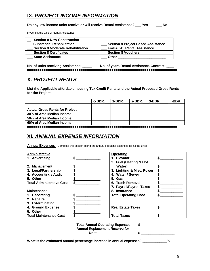### **IX.** *PROJECT INCOME INFORMATION*

**Do any low-income units receive or will receive Rental Assistance? \_\_\_ Yes \_\_\_ No**

If yes, list the type of Rental Assistance:

| <b>Section 8 New Construction</b><br><b>Substantial Rehabilitation</b> | <b>Section 8 Project Based Assistance</b> |
|------------------------------------------------------------------------|-------------------------------------------|
| <b>Section 8 Moderate Rehabilitation</b>                               | <b>FmHA 515 Rental Assistance</b>         |
| <b>Section 8 Certificates</b>                                          | <b>Section 8 Vouchers</b>                 |
| <b>State Assistance</b>                                                | Other                                     |

**No. of units receiving Assistance: \_\_\_\_\_ No. of years Rental Assistance Contract: \_\_\_\_ =========================================================================**

### **X.** *PROJECT RENTS*

**List the Applicable affordable housing Tax Credit Rents and the Actual Proposed Gross Rents for the Project:**

|                                       | 0-BDR. | $1-BDR$ | $2-BDR.$ | $3-BDR.$ | -BDR |
|---------------------------------------|--------|---------|----------|----------|------|
|                                       |        |         |          |          |      |
| <b>Actual Gross Rents for Project</b> |        |         |          |          |      |
| 30% of Area Median Income             |        |         |          |          |      |
| 50% of Area Median Income             |        |         |          |          |      |
| 60% of Area Median Income             |        |         |          |          |      |

**=========================================================================**

### **XI.** *ANNUAL EXPENSE INFORMATION*

**Annual Expenses** (Complete this section listing the annual operating expenses for all the units).

| <b>Administrative</b>            | <b>Operating</b>            |    |
|----------------------------------|-----------------------------|----|
| 1. Advertising                   | 1. Elevator                 | \$ |
|                                  | 2. Fuel (Heating & Hot      |    |
| 2. Management                    | Water)                      |    |
| 3. Legal/Partnership             | 3. Lighting & Misc. Power   |    |
| 4. Accounting / Audit            | 4. Water / Sewer            |    |
| 5. Other                         | 5. Gas                      |    |
| <b>Total Administrative Cost</b> | 6. Trash Removal            |    |
|                                  | 7. Payroll/Payroll Taxes    |    |
| <b>Maintenance</b>               | 8. Insurance                |    |
| 1. Decorating                    | <b>Total Operating Cost</b> |    |
| 2. Repairs                       |                             |    |
| 3. Exterminating                 |                             |    |
| 4. Ground Expense                | <b>Real Estate Taxes</b>    |    |
| 5. Other                         |                             |    |
| <b>Total Maintenance Cost</b>    | <b>Total Taxes</b>          |    |

**Total Annual Operating Expenses \$\_\_\_\_\_\_\_\_\_\_\_\_\_\_\_\_\_\_ Annual Replacement Reserve for Units \$ \_\_\_\_\_\_\_\_\_\_\_\_\_\_\_\_\_\_**

**What is the estimated annual percentage increase in annual expenses? \_\_\_\_\_\_\_\_\_\_\_\_\_%**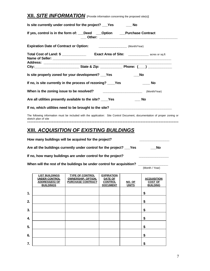## **XII.** *SITE INFORMATION* [Provide information concerning the proposed site(s)]

|                                          | Is site currently under control for the project? ___ Yes                 | No                                                                                                                                                                                                                            |
|------------------------------------------|--------------------------------------------------------------------------|-------------------------------------------------------------------------------------------------------------------------------------------------------------------------------------------------------------------------------|
|                                          | If yes, control is in the form of: __Deed ___Option ___Purchase Contract |                                                                                                                                                                                                                               |
|                                          |                                                                          |                                                                                                                                                                                                                               |
|                                          |                                                                          |                                                                                                                                                                                                                               |
|                                          |                                                                          | City: City: City: City: City: City: City: City: City: City: City: City: City: City: City: City: City: City: City: City: City: City: City: City: City: City: City: City: City: City: City: City: City: City: City: City: City: |
|                                          | Is site properly zoned for your development? Pes                         | No                                                                                                                                                                                                                            |
|                                          | If no, is site currently in the process of rezoning? _____ Yes           | <b>No</b>                                                                                                                                                                                                                     |
| When is the zoning issue to be resolved? |                                                                          | (Month/Year)                                                                                                                                                                                                                  |
|                                          | Are all utilities presently available to the site? _____Yes              | <b>No</b>                                                                                                                                                                                                                     |
|                                          |                                                                          | If no, which utilities need to be brought to the site? _________________________                                                                                                                                              |
| sketch plan of site                      |                                                                          | The following information must be included with the application: Site Control Document, documentation of proper zoning or                                                                                                     |
|                                          | <b>XIII. ACQUISITION OF EXISTING BUILDINGS</b>                           |                                                                                                                                                                                                                               |
|                                          | How many buildings will be acquired for the project?                     |                                                                                                                                                                                                                               |
|                                          | Are all the buildings currently under control for the project? ___ Yes   | No                                                                                                                                                                                                                            |
|                                          | If no, how many buildings are under control for the project?             |                                                                                                                                                                                                                               |
|                                          | When will the rest of the buildings be under control for acquisition?    |                                                                                                                                                                                                                               |

(Month / Year)

|    | <b>LIST BUILDINGS</b> | <b>TYPE OF CONTROL</b>    | <b>EXPIRATION</b> |               |                    |
|----|-----------------------|---------------------------|-------------------|---------------|--------------------|
|    | <b>UNDER CONTROL</b>  | <b>OWNERSHIP, OPTION,</b> | DATE OF           |               | <b>ACQUISITION</b> |
|    | <b>ADDRESS(ES) OF</b> | <b>PURCHASE CONTRACT</b>  | <b>CONTROL</b>    | <b>NO. OF</b> | <b>COST OF</b>     |
|    | <b>BUILDINGS</b>      |                           | <b>DOCUMENT</b>   | <b>UNITS</b>  | <b>BUILDING</b>    |
|    |                       |                           |                   |               |                    |
| 1. |                       |                           |                   |               | \$                 |
|    |                       |                           |                   |               |                    |
| 2. |                       |                           |                   |               | \$                 |
|    |                       |                           |                   |               |                    |
| 3. |                       |                           |                   |               | \$                 |
|    |                       |                           |                   |               |                    |
| 4. |                       |                           |                   |               | \$                 |
|    |                       |                           |                   |               |                    |
| 5. |                       |                           |                   |               | \$                 |
|    |                       |                           |                   |               |                    |
| 6. |                       |                           |                   |               | \$                 |
|    |                       |                           |                   |               |                    |
| 7. |                       |                           |                   |               | S                  |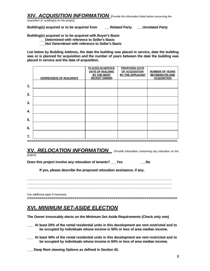**ISITION INFORMATION** [Provide the information listed below concerning the

acquisition of building(s) for the project]

**Building(s) acquired or to be acquired from \_\_\_Related Party \_\_\_Unrelated Party**

**Building(s) acquired or to be acquired with Buyer's Basis**

**\_\_\_Determined with reference to Seller's Basis**

**\_\_\_Not Determined with reference to Seller's Basis**

**List below by Building Address, the date the building was placed in service, date the building was or is planned for acquisition and the number of years between the date the building was placed in service and the date of acquisition.**

|    | <b>ADDRESS(ES) OF BUILDINGS</b> | <b>PLACED-IN-SERVICE</b><br><b>DATE OF BUILDING</b><br>BY THE MOST<br><b>RECENT OWNER</b> | <b>PROPOSED DATE</b><br>OF ACQUISITION<br>BY THE APPLICANT | <b>NUMBER OF YEARS</b><br><b>BETWEEN PIS AND</b><br><b>ACQUISITION</b> |
|----|---------------------------------|-------------------------------------------------------------------------------------------|------------------------------------------------------------|------------------------------------------------------------------------|
| 1. |                                 |                                                                                           |                                                            |                                                                        |
| 2. |                                 |                                                                                           |                                                            |                                                                        |
| 3. |                                 |                                                                                           |                                                            |                                                                        |
| 4. |                                 |                                                                                           |                                                            |                                                                        |
| 5. |                                 |                                                                                           |                                                            |                                                                        |
| 6. |                                 |                                                                                           |                                                            |                                                                        |
| 7. |                                 |                                                                                           |                                                            |                                                                        |

### **XV.** *RELOCATION INFORMATION* (Provide information concerning any relocation on the

project)

**Does this project involve any relocation of tenants? \_\_\_Yes \_\_\_No**

**If yes, please describe the proposed relocation assistance, if any.**

Use additional paper if necessary

## **XVI.** *MINIMUM SET-ASIDE ELECTION*

**The Owner irrevocably elects on the Minimum Set-Aside Requirements (Check only one)**

**\_\_\_\_\_\_\_\_\_\_\_\_\_\_\_\_\_\_\_\_\_\_\_\_\_\_\_\_\_\_\_\_\_\_\_\_\_\_\_\_\_\_\_\_\_\_\_\_\_\_\_\_\_\_\_\_\_\_\_\_\_\_\_\_\_\_\_\_\_\_\_\_\_\_\_\_\_\_ \_\_\_\_\_\_\_\_\_\_\_\_\_\_\_\_\_\_\_\_\_\_\_\_\_\_\_\_\_\_\_\_\_\_\_\_\_\_\_\_\_\_\_\_\_\_\_\_\_\_\_\_\_\_\_\_\_\_\_\_\_\_\_\_\_\_\_\_\_\_\_\_\_\_\_\_\_\_ \_\_\_\_\_\_\_\_\_\_\_\_\_\_\_\_\_\_\_\_\_\_\_\_\_\_\_\_\_\_\_\_\_\_\_\_\_\_\_\_\_\_\_\_\_\_\_\_\_\_\_\_\_\_\_\_\_\_\_\_\_\_\_\_\_\_\_\_\_\_\_\_\_\_\_\_\_\_**

**=========================================================================**

- **\_\_\_ At least 20% of the rental residential units in this development are rent-restricted and to be occupied by individuals whose income is 50% or less of area median income.**
- **\_\_\_ At least 40% of the rental residential units in this development are rent-restricted and to be occupied by individuals whose income is 60% or less of area median income.**

**\_\_\_ Deep Rent skewing Options as defined in Section 42.**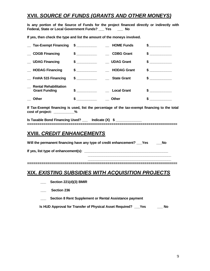### **XVII.** *SOURCE OF FUNDS (GRANTS AND OTHER MONEYS)*

**Is any portion of the Source of Funds for the project financed directly or indirectly with Federal, State or Local Government Funds? \_\_\_ Yes \_\_\_ No**

**If yes, then check the type and list the amount of the moneys involved.**

| <b>Tax-Exempt Financing</b>                          | $\frac{1}{2}$                                                                                                                                                                                                                              | <b>HOME Funds</b>  | $\sim$ $\sim$ |
|------------------------------------------------------|--------------------------------------------------------------------------------------------------------------------------------------------------------------------------------------------------------------------------------------------|--------------------|---------------|
| <b>CDGB Financing</b>                                | $\frac{1}{2}$                                                                                                                                                                                                                              | <b>CDBG Grant</b>  | $\sim$ 5      |
| <b>UDAG Financing</b>                                | $\frac{1}{2}$                                                                                                                                                                                                                              | <b>UDAG Grant</b>  | $\sim$ $\sim$ |
| <b>HODAG Financing</b>                               |                                                                                                                                                                                                                                            | <b>HODAG Grant</b> | $\frac{1}{2}$ |
| <b>FmHA 515 Financing</b>                            | $\frac{1}{2}$                                                                                                                                                                                                                              | <b>State Grant</b> | $\frac{1}{2}$ |
| <b>Rental Rehabilitation</b><br><b>Grant Funding</b> | \$<br><u>and the state of the state of the state of the state of the state of the state of the state of the state of the state of the state of the state of the state of the state of the state of the state of the state of the state</u> | <b>Local Grant</b> | $\sim$ 5      |
| <b>Other</b>                                         | \$                                                                                                                                                                                                                                         | <b>Other</b>       |               |

**If Tax-Exempt financing is used, list the percentage of the tax-exempt financing to the total cost of project: \_\_\_\_\_\_\_\_\_\_\_%**

| Is Taxable Bond Financing Used? |  |
|---------------------------------|--|
|                                 |  |

### **XVIII.** *CREDIT ENHANCEMENTS*

| Will the permanent financing have any type of credit enhancement? | <b>Yes</b> | No |
|-------------------------------------------------------------------|------------|----|
| If yes, list type of enhancement(s):                              |            |    |

#### **\_\_\_\_\_\_\_\_\_\_\_\_\_\_\_\_\_\_\_\_\_\_\_\_\_\_\_\_\_\_\_\_\_\_\_\_\_\_\_\_\_\_\_\_\_ =========================================================================**

### **XIX.** *EXISTING SUBSIDIES WITH ACQUISITION PROJECTS*

- **\_\_\_ Section 221(d)(3) BMIR**
- Section 236
- **Section 8 Rent Supplement or Rental Assistance payment**

**Is HUD Approval for Transfer of Physical Asset Required? \_\_\_Yes \_\_\_ No**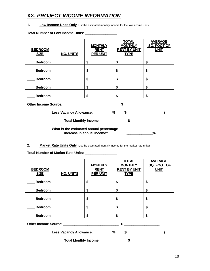### **XX.** *PROJECT INCOME INFORMATION*

**1. Low Income Units Only** (List the estimated monthly income for the low income units)

**Total Number of Low Income Units: \_\_\_\_\_\_\_\_\_\_\_\_\_\_\_\_\_**

| <b>BEDROOM</b><br><b>SIZE</b>                                              | <b>NO. UNITS</b> | <b>MONTHLY</b><br><b>RENT</b><br><b>PER UNIT</b> | <b>TOTAL</b><br><b>MONTHLY</b><br><b>RENT BY UNIT</b><br><b>TYPE</b> | <b>AVERAGE</b><br>SQ. FOOT OF<br><b>UNIT</b> |  |  |
|----------------------------------------------------------------------------|------------------|--------------------------------------------------|----------------------------------------------------------------------|----------------------------------------------|--|--|
| <b>Bedroom</b>                                                             |                  | \$                                               | \$                                                                   | \$                                           |  |  |
| <b>Bedroom</b>                                                             |                  | \$                                               | \$                                                                   | \$                                           |  |  |
| <b>Bedroom</b>                                                             |                  | \$                                               | \$                                                                   | \$                                           |  |  |
| <b>Bedroom</b>                                                             |                  | \$                                               | \$                                                                   | \$                                           |  |  |
| <b>Bedroom</b>                                                             |                  | \$                                               | \$                                                                   | \$                                           |  |  |
|                                                                            |                  |                                                  |                                                                      |                                              |  |  |
| Less Vacancy Allowance: 2008/2010<br>$\left( \frac{2}{3} \right)$          |                  |                                                  |                                                                      |                                              |  |  |
| <b>Total Monthly Income:</b>                                               |                  |                                                  |                                                                      |                                              |  |  |
| What is the estimated annual percentage<br>increase in annual income?<br>% |                  |                                                  |                                                                      |                                              |  |  |

**2. Market Rate Units Only** (List the estimated monthly income for the market rate units)

**Total Number of Market Rate Units: \_\_\_\_\_\_\_\_\_\_\_\_\_\_\_\_\_**

| <b>BEDROOM</b><br><b>SIZE</b>              | <b>NO. UNITS</b> | <b>MONTHLY</b><br><b>RENT</b><br><b>PER UNIT</b> | <b>TOTAL</b><br><b>MONTHLY</b><br><b>RENT BY UNIT</b><br><b>TYPE</b> | <b>AVERAGE</b><br><b>SQ. FOOT OF</b><br><b>UNIT</b> |  |  |
|--------------------------------------------|------------------|--------------------------------------------------|----------------------------------------------------------------------|-----------------------------------------------------|--|--|
| <b>Bedroom</b>                             |                  | \$                                               | \$                                                                   | \$                                                  |  |  |
| <b>Bedroom</b>                             |                  | \$                                               | \$                                                                   | \$                                                  |  |  |
| <b>Bedroom</b>                             |                  | \$                                               | \$                                                                   | \$                                                  |  |  |
| <b>Bedroom</b>                             |                  | \$                                               | \$                                                                   | \$                                                  |  |  |
| <b>Bedroom</b>                             |                  | \$                                               | \$                                                                   | \$                                                  |  |  |
|                                            |                  |                                                  |                                                                      |                                                     |  |  |
| Less Vacancy Allowance: _________%<br>$$_$ |                  |                                                  |                                                                      |                                                     |  |  |
| <b>Total Monthly Income:</b><br>\$         |                  |                                                  |                                                                      |                                                     |  |  |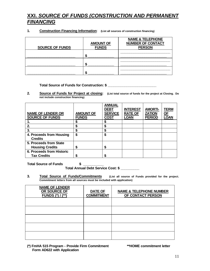### **XXI.** *SOURCE OF FUNDS (CONSTRUCTION AND PERMANENT FINANCING*

#### **1. Construction Financing Information**: **(List all sources of construction financing**)

| <b>SOURCE OF FUNDS</b> | <b>AMOUNT OF</b><br><b>FUNDS</b> | <b>NAME &amp; TELEPHONE</b><br><b>NUMBER OF CONTACT</b><br><b>PERSON</b> |
|------------------------|----------------------------------|--------------------------------------------------------------------------|
|                        |                                  |                                                                          |
|                        |                                  |                                                                          |
|                        |                                  |                                                                          |

**Total Source of Funds for Construction: \$ \_\_\_\_\_\_\_\_\_\_\_\_\_\_\_\_\_\_\_\_\_\_\_\_\_\_**

**2. Source of Funds for Project at closing: (List total source of funds for the project at Closing. Do not include construction financing**).

| <b>NAME OF LENDER OR</b><br><b>SOURCE OF FUNDS</b> | <b>AMOUNT OF</b><br><b>FUNDS</b> | <b>ANNUAL</b><br><b>DEBT</b><br><b>SERVICE</b><br><b>COST</b> | <b>INTEREST</b><br><b>RATE OF</b><br><b>LOAN</b> | <b>AMORTI-</b><br><b>ZATION</b><br><b>PERIOD</b> | <b>TERM</b><br><b>OF</b><br><b>LOAN</b> |
|----------------------------------------------------|----------------------------------|---------------------------------------------------------------|--------------------------------------------------|--------------------------------------------------|-----------------------------------------|
|                                                    |                                  |                                                               |                                                  |                                                  |                                         |
| 2.                                                 |                                  |                                                               |                                                  |                                                  |                                         |
| 3.                                                 |                                  |                                                               |                                                  |                                                  |                                         |
| 4. Proceeds from Housing<br><b>Credits</b>         | \$                               | S                                                             |                                                  |                                                  |                                         |
| 5. Proceeds from State                             |                                  |                                                               |                                                  |                                                  |                                         |
| <b>Housing Credits</b>                             |                                  |                                                               |                                                  |                                                  |                                         |
| 6. Proceeds from Historic                          |                                  |                                                               |                                                  |                                                  |                                         |
| <b>Tax Credits</b>                                 |                                  |                                                               |                                                  |                                                  |                                         |

**Total Source of Funds \$ \_\_\_\_\_\_\_\_\_\_\_** 

 **Total Annual Debt Service Cost: \$ \_\_\_\_\_\_\_\_\_\_**

**3. Total Source of Funds/Commitments (List all source of Funds provided for the project. Commitment letters from all sources must be included with application)**

| <b>NAME OF LENDER</b><br>OR SOURCE OF<br><b>FUNDS (*) / (**)</b> | <b>DATE OF</b><br><b>COMMITMENT</b> | <b>NAME &amp; TELEPHONE NUMBER</b><br>OF CONTACT PERSON |
|------------------------------------------------------------------|-------------------------------------|---------------------------------------------------------|
|                                                                  |                                     |                                                         |
|                                                                  |                                     |                                                         |
|                                                                  |                                     |                                                         |
|                                                                  |                                     |                                                         |
|                                                                  |                                     |                                                         |

**(\*) FmHA 515 Program - Provide Firm Commitment \*\*HOME commitment letter Form AD622 with Application**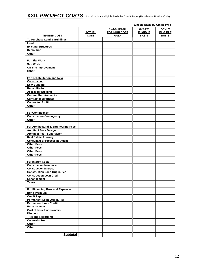|                                                                      |                              |                                                          | <b>Eligible Basis by Credit Type</b>      |                                           |
|----------------------------------------------------------------------|------------------------------|----------------------------------------------------------|-------------------------------------------|-------------------------------------------|
| <b>ITEMIZED COST</b>                                                 | <b>ACTUAL</b><br><b>COST</b> | <b>ADJUSTMENT</b><br><b>FOR HIGH COST</b><br><u>AREA</u> | 30% PV<br><b>ELIGIBLE</b><br><b>BASIS</b> | 70% PV<br><b>ELIGIBLE</b><br><b>BASIS</b> |
| To Purchase Land & Buildings                                         |                              |                                                          |                                           |                                           |
| Land                                                                 |                              |                                                          |                                           |                                           |
| <b>Existing Structures</b>                                           |                              |                                                          |                                           |                                           |
| <b>Demolition</b>                                                    |                              |                                                          |                                           |                                           |
| Other                                                                |                              |                                                          |                                           |                                           |
|                                                                      |                              |                                                          |                                           |                                           |
| For Site Work                                                        |                              |                                                          |                                           |                                           |
| <b>Site Work</b>                                                     |                              |                                                          |                                           |                                           |
| Off Site Improvement                                                 |                              |                                                          |                                           |                                           |
| Other                                                                |                              |                                                          |                                           |                                           |
|                                                                      |                              |                                                          |                                           |                                           |
| For Rehabilitation and New                                           |                              |                                                          |                                           |                                           |
| Construction                                                         |                              |                                                          |                                           |                                           |
| <b>New Building</b>                                                  |                              |                                                          |                                           |                                           |
| Rehabilitation                                                       |                              |                                                          |                                           |                                           |
| <b>Accessory Building</b>                                            |                              |                                                          |                                           |                                           |
| <b>General Requirements</b>                                          |                              |                                                          |                                           |                                           |
| <b>Contractor Overhead</b>                                           |                              |                                                          |                                           |                                           |
| <b>Contractor Profit</b>                                             |                              |                                                          |                                           |                                           |
| Other                                                                |                              |                                                          |                                           |                                           |
|                                                                      |                              |                                                          |                                           |                                           |
| <b>For Contingency</b>                                               |                              |                                                          |                                           |                                           |
| <b>Construction Contingency</b>                                      |                              |                                                          |                                           |                                           |
| Other                                                                |                              |                                                          |                                           |                                           |
|                                                                      |                              |                                                          |                                           |                                           |
| For Architectural & Engineering Fees                                 |                              |                                                          |                                           |                                           |
| <b>Architect Fee - Design</b>                                        |                              |                                                          |                                           |                                           |
| <b>Architect Fee - Supervision</b>                                   |                              |                                                          |                                           |                                           |
| <b>Real Estate Attorney</b><br><b>Consultant or Processing Agent</b> |                              |                                                          |                                           |                                           |
| <b>Other Fees</b>                                                    |                              |                                                          |                                           |                                           |
| <b>Other Fees</b>                                                    |                              |                                                          |                                           |                                           |
| <b>Other Fees</b>                                                    |                              |                                                          |                                           |                                           |
| <b>Other Fees</b>                                                    |                              |                                                          |                                           |                                           |
|                                                                      |                              |                                                          |                                           |                                           |
| <b>For Interim Costs</b>                                             |                              |                                                          |                                           |                                           |
| <b>Construction Insurance</b>                                        |                              |                                                          |                                           |                                           |
| <b>Construction Interest</b>                                         |                              |                                                          |                                           |                                           |
| <b>Construction Loan Origin. Fee</b>                                 |                              |                                                          |                                           |                                           |
| <b>Construction Loan Credit</b>                                      |                              |                                                          |                                           |                                           |
| <b>Enhancement</b>                                                   |                              |                                                          |                                           |                                           |
| <b>Taxes</b>                                                         |                              |                                                          |                                           |                                           |
|                                                                      |                              |                                                          |                                           |                                           |
| For Financing Fees and Expenses                                      |                              |                                                          |                                           |                                           |
| <b>Bond Premium</b>                                                  |                              |                                                          |                                           |                                           |
| <b>Credit Report</b>                                                 |                              |                                                          |                                           |                                           |
| Permanent Loan Origin. Fee                                           |                              |                                                          |                                           |                                           |
| <b>Permanent Loan Credit</b>                                         |                              |                                                          |                                           |                                           |
| <b>Enhancement</b>                                                   |                              |                                                          |                                           |                                           |
| <b>Cost of Issue/Underwriters</b>                                    |                              |                                                          |                                           |                                           |
| <b>Discount</b>                                                      |                              |                                                          |                                           |                                           |
| <b>Title and Recording</b>                                           |                              |                                                          |                                           |                                           |
| <b>Counsel's Fee</b>                                                 |                              |                                                          |                                           |                                           |
| Other                                                                |                              |                                                          |                                           |                                           |
| Other                                                                |                              |                                                          |                                           |                                           |
|                                                                      |                              |                                                          |                                           |                                           |
| <b>Subtotal</b>                                                      |                              |                                                          |                                           |                                           |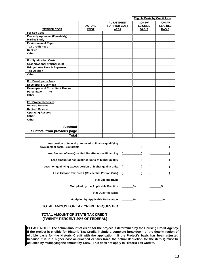|                                                          |               |                      | <b>Eligible Basis by Credit Type</b> |                 |
|----------------------------------------------------------|---------------|----------------------|--------------------------------------|-----------------|
|                                                          |               | <b>ADJUSTMENT</b>    | 30% PV                               | 70% PV          |
|                                                          | <b>ACTUAL</b> | <b>FOR HIGH COST</b> | <b>ELIGIBLE</b>                      | <b>ELIGIBLE</b> |
| <b>ITEMIZED COST</b>                                     | <b>COST</b>   | <b>AREA</b>          | <b>BASIS</b>                         | <b>BASIS</b>    |
| <b>For Soft Cost</b>                                     |               |                      |                                      |                 |
| <b>Property Appraisal (Feasibility)</b>                  |               |                      |                                      |                 |
| <b>Market Study</b>                                      |               |                      |                                      |                 |
| <b>Environmental Report</b>                              |               |                      |                                      |                 |
| <b>Tax Credit Fees</b>                                   |               |                      |                                      |                 |
| Rent-up                                                  |               |                      |                                      |                 |
| Other                                                    |               |                      |                                      |                 |
|                                                          |               |                      |                                      |                 |
| <b>For Syndication Costs</b>                             |               |                      |                                      |                 |
| <b>Organizational (Partnership)</b>                      |               |                      |                                      |                 |
| <b>Bridge Loan Fees &amp; Expenses</b>                   |               |                      |                                      |                 |
| <b>Tax Opinion</b>                                       |               |                      |                                      |                 |
| Other                                                    |               |                      |                                      |                 |
|                                                          |               |                      |                                      |                 |
| <b>For Developer's Fees</b>                              |               |                      |                                      |                 |
| <b>Developer's Overhead</b>                              |               |                      |                                      |                 |
| Developer and Consultant Fee and                         |               |                      |                                      |                 |
| Percentage<br>%                                          |               |                      |                                      |                 |
| Other                                                    |               |                      |                                      |                 |
|                                                          |               |                      |                                      |                 |
| <b>For Project Reserves</b>                              |               |                      |                                      |                 |
| <b>Rent-up Reserve</b>                                   |               |                      |                                      |                 |
| <b>Rent-up Reserve</b>                                   |               |                      |                                      |                 |
| <b>Operating Reserve</b>                                 |               |                      |                                      |                 |
| Other                                                    |               |                      |                                      |                 |
| Other                                                    |               |                      |                                      |                 |
|                                                          |               |                      |                                      |                 |
| <b>Subtotal</b>                                          |               |                      |                                      |                 |
| Subtotal from previous page                              |               |                      |                                      |                 |
| <b>Total</b>                                             |               |                      |                                      |                 |
|                                                          |               |                      |                                      |                 |
| Less portion of federal grant used to finance qualifying |               |                      |                                      |                 |
|                                                          |               |                      |                                      |                 |
| Less Amount of Non-Qualified Non-Recourse Financing (    |               |                      | $\lambda$ (                          |                 |

| Less Amount of Non-Qualified Non-Recourse Financing (                                                                                                                                                                                |                                    |
|--------------------------------------------------------------------------------------------------------------------------------------------------------------------------------------------------------------------------------------|------------------------------------|
| Less amount of non-qualified units of higher quality ( ( ) ( ) ( ) ( ) (                                                                                                                                                             |                                    |
| Less non-qualifying excess portion of higher quality units (                                                                                                                                                                         |                                    |
| Less Historic Tax Credit (Residential Portion Only) (Common Common Common Common Common Common Commo                                                                                                                                 |                                    |
|                                                                                                                                                                                                                                      |                                    |
| Multiplied by the Applicable Fraction _________%                                                                                                                                                                                     | $\sim$ $\sim$ $\sim$ $\sim$ $\sim$ |
| <b>Total Qualified Basis Contract Control Control Control Control Control Control Control Control Control Control Control Control Control Control Control Control Control Control Control Control Control Control Control Contro</b> |                                    |
| Multiplied by Applicable Percentage 2001                                                                                                                                                                                             | %                                  |
| TOTAL AMOUNT OF TAX CREDIT REQUESTED __________                                                                                                                                                                                      |                                    |
| TOTAL AMOUNT OF STATE TAX CREDIT<br>(TWENTY PERCENT 20% OF FEDERAL)                                                                                                                                                                  |                                    |

**PLEASE NOTE: The actual amount of credit for the project is determined by the Housing Credit Agency. If the project is eligible for Historic Tax Credit, include a complete breakdown of the determination of eligible basis for the Historic Credit with the application. If the Project's basis has been adjusted because it is in a higher cost or qualified census tract, the actual deduction for the item(s) must be adjusted by multiplying the amount by 130%. This does not apply to Historic Tax Credits.**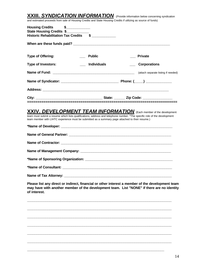**XXIII.** *SYNDICATION INFORMATION* (Provide information below concerning syndication and estimated proceeds from sale of Housing Credits and State Housing Credits if utilizing as source of funds)

| <b>Housing Credits</b><br>$\frac{1}{2}$<br>State Housing Credits \$<br><b>Historic Rehabilitation Tax Credits</b>         | $s$ $-$            |                                     |  |
|---------------------------------------------------------------------------------------------------------------------------|--------------------|-------------------------------------|--|
|                                                                                                                           |                    |                                     |  |
| <b>Type of Offering:</b>                                                                                                  | <b>Public</b>      | <b>Private</b>                      |  |
| Type of Investors:                                                                                                        | <b>Individuals</b> | <b>Corporations</b>                 |  |
|                                                                                                                           |                    | (attach separate listing if needed) |  |
|                                                                                                                           |                    |                                     |  |
|                                                                                                                           |                    |                                     |  |
| City:                                                                                                                     |                    | <b>State:</b> <u>Cip</u> Code:      |  |
| Name of Tax Attorney:<br>Please list any direct or indirect, financial or other interest a member of the development team |                    |                                     |  |
| may have with another member of the development team. List "NONE" if there are no identity<br>of interest.                |                    |                                     |  |

**\_\_\_\_\_\_\_\_\_\_\_\_\_\_\_\_\_\_\_\_\_\_\_\_\_\_\_\_\_\_\_\_\_\_\_\_\_\_\_\_\_\_\_\_\_\_\_\_\_\_\_\_\_\_\_\_\_\_\_\_\_\_\_\_\_\_\_\_\_\_\_\_\_\_\_\_\_\_**

**\_\_\_\_\_\_\_\_\_\_\_\_\_\_\_\_\_\_\_\_\_\_\_\_\_\_\_\_\_\_\_\_\_\_\_\_\_\_\_\_\_\_\_\_\_\_\_\_\_\_\_\_\_\_\_\_\_\_\_\_\_\_\_\_\_\_\_\_\_\_\_\_\_\_\_\_\_\_**

**\_\_\_\_\_\_\_\_\_\_\_\_\_\_\_\_\_\_\_\_\_\_\_\_\_\_\_\_\_\_\_\_\_\_\_\_\_\_\_\_\_\_\_\_\_\_\_\_\_\_\_\_\_\_\_\_\_\_\_\_\_\_\_\_\_\_\_\_\_\_\_\_\_\_**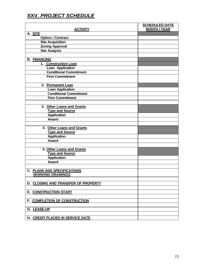### **XXV.** *PROJECT SCHEDULE*

| <b>ACTIVITY</b>                            | <b>SCHEDULED DATE</b><br><b>MONTH / YEAR</b> |
|--------------------------------------------|----------------------------------------------|
| A. SITE                                    |                                              |
| <b>Option / Contract</b>                   |                                              |
| <b>Site Acquisition</b>                    |                                              |
| <b>Zoning Approval</b>                     |                                              |
| <b>Site Analysis</b>                       |                                              |
|                                            |                                              |
| <b>B. FINANCING</b>                        |                                              |
| 1. Construction Loan                       |                                              |
| Loan Application                           |                                              |
| <b>Conditional Commitment</b>              |                                              |
| <b>Firm Commitment</b>                     |                                              |
|                                            |                                              |
| 2. Permanent Loan                          |                                              |
| <b>Loan Application</b>                    |                                              |
| <b>Conditional Commitment</b>              |                                              |
| <b>Firm Commitment</b>                     |                                              |
|                                            |                                              |
| 3. Other Loans and Grants                  |                                              |
| <b>Type and Source</b>                     |                                              |
| <b>Application</b>                         |                                              |
| <b>Award</b>                               |                                              |
|                                            |                                              |
| 4. Other Loans and Grants                  |                                              |
| <b>Type and Source</b>                     |                                              |
| <b>Application</b>                         |                                              |
| <b>Award</b>                               |                                              |
|                                            |                                              |
| 5. Other Loans and Grants                  |                                              |
| <b>Type and Source</b>                     |                                              |
| <b>Application</b>                         |                                              |
| Award                                      |                                              |
|                                            |                                              |
| <b>C. PLANS AND SPECIFICATIONS</b>         |                                              |
| <b>WORKING DRAWINGS</b>                    |                                              |
|                                            |                                              |
| D. CLOSING AND TRANSFER OF PROPERTY        |                                              |
|                                            |                                              |
| <b>E. CONSTRUCTION START</b>               |                                              |
|                                            |                                              |
| F. COMPLETION OF CONSTRUCTION              |                                              |
|                                            |                                              |
| G. LEASE-UP                                |                                              |
|                                            |                                              |
| <b>CREDIT PLACED IN SERVICE DATE</b><br>Н. |                                              |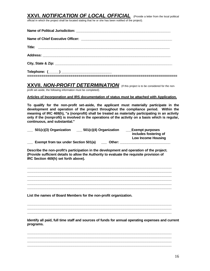**XXVI.** *NOTIFICATION OF LOCAL OFFICIAL* (Provide a letter from the local political official in which the project shall be located stating that he or she has been notified of the project).

Name of Political Jurisdiction: **with a state of a state of Political Name of Chief Executive Officer: \_\_\_\_\_\_\_\_\_\_\_\_\_\_\_\_\_\_\_\_\_\_\_\_\_\_\_\_\_\_\_\_\_\_\_\_\_\_\_\_\_\_\_\_\_\_\_\_\_ Title: \_\_\_\_\_\_\_\_\_\_\_\_\_\_\_\_\_\_\_\_\_\_\_\_\_\_\_\_\_\_\_\_\_\_\_\_\_\_\_\_\_\_\_\_\_\_\_\_\_\_\_\_\_\_\_\_\_\_\_\_\_\_\_\_\_\_\_\_\_\_\_ Address: \_\_\_\_\_\_\_\_\_\_\_\_\_\_\_\_\_\_\_\_\_\_\_\_\_\_\_\_\_\_\_\_\_\_\_\_\_\_\_\_\_\_\_\_\_\_\_\_\_\_\_\_\_\_\_\_\_\_\_\_\_\_\_\_\_\_\_\_\_** City, State & Zip: *\_\_\_\_\_\_\_\_\_\_\_\_\_\_\_\_\_\_\_\_\_\_\_\_\_\_\_\_\_\_\_\_\_\_* **Telephone: (\_\_\_\_\_\_) \_\_\_\_\_\_\_\_\_\_\_\_\_\_\_\_\_\_\_\_\_\_\_\_\_\_\_ =========================================================================**

**XXVII.** *NON-PROFIT DETERMINATION* (If this project is to be considered for the non-

profit set-aside, the following information must be completed).

#### **Articles of Incorporation and IRS documentation of status must be attached with Application.**

**To qualify for the non-profit set-aside, the applicant must materially participate in the development and operation of the project throughout the compliance period. Within the meaning of IRC 469(h), "a (nonprofit) shall be treated as materially participating in an activity only if the (nonprofit) is involved in the operations of the activity on a basis which is regular, continuous, and substantial."**

| 501(c)(3) Organization               | 501(c)(4) Organization | <b>Exempt purposes</b><br>includes fostering of<br>Low Income Housing |
|--------------------------------------|------------------------|-----------------------------------------------------------------------|
|                                      |                        |                                                                       |
| Exempt from tax under Section 501(a) | Other:                 |                                                                       |

**Describe the non-profit's participation in the development and operation of the project. (Provide sufficient details to allow the Authority to evaluate the requisite provision of IRC Section 469(h) set forth above).**

**\_\_\_\_\_\_\_\_\_\_\_\_\_\_\_\_\_\_\_\_\_\_\_\_\_\_\_\_\_\_\_\_\_\_\_\_\_\_\_\_\_\_\_\_\_\_\_\_\_\_\_\_\_\_\_\_\_\_\_\_\_\_\_\_\_\_\_\_\_\_\_\_\_\_\_\_\_\_ \_\_\_\_\_\_\_\_\_\_\_\_\_\_\_\_\_\_\_\_\_\_\_\_\_\_\_\_\_\_\_\_\_\_\_\_\_\_\_\_\_\_\_\_\_\_\_\_\_\_\_\_\_\_\_\_\_\_\_\_\_\_\_\_\_\_\_\_\_\_\_\_\_\_\_\_\_\_ \_\_\_\_\_\_\_\_\_\_\_\_\_\_\_\_\_\_\_\_\_\_\_\_\_\_\_\_\_\_\_\_\_\_\_\_\_\_\_\_\_\_\_\_\_\_\_\_\_\_\_\_\_\_\_\_\_\_\_\_\_\_\_\_\_\_\_\_\_\_\_\_\_\_\_\_\_\_ \_\_\_\_\_\_\_\_\_\_\_\_\_\_\_\_\_\_\_\_\_\_\_\_\_\_\_\_\_\_\_\_\_\_\_\_\_\_\_\_\_\_\_\_\_\_\_\_\_\_\_\_\_\_\_\_\_\_\_\_\_\_\_\_\_\_\_\_\_\_\_\_\_\_\_\_\_\_ \_\_\_\_\_\_\_\_\_\_\_\_\_\_\_\_\_\_\_\_\_\_\_\_\_\_\_\_\_\_\_\_\_\_\_\_\_\_\_\_\_\_\_\_\_\_\_\_\_\_\_\_\_\_\_\_\_\_\_\_\_\_\_\_\_\_\_\_\_\_\_\_\_\_\_\_\_\_ \_\_\_\_\_\_\_\_\_\_\_\_\_\_\_\_\_\_\_\_\_\_\_\_\_\_\_\_\_\_\_\_\_\_\_\_\_\_\_\_\_\_\_\_\_\_\_\_\_\_\_\_\_\_\_\_\_\_\_\_\_\_\_\_\_\_\_\_\_\_\_\_\_\_\_\_\_\_**

**\_\_\_\_\_\_\_\_\_\_\_\_\_\_\_\_\_\_\_\_\_\_\_\_\_\_\_\_\_\_\_\_\_\_\_\_\_\_\_\_\_\_\_\_\_\_\_\_\_\_\_\_\_\_\_\_\_\_\_\_\_\_\_\_\_\_\_\_\_\_\_\_\_\_\_\_\_\_ \_\_\_\_\_\_\_\_\_\_\_\_\_\_\_\_\_\_\_\_\_\_\_\_\_\_\_\_\_\_\_\_\_\_\_\_\_\_\_\_\_\_\_\_\_\_\_\_\_\_\_\_\_\_\_\_\_\_\_\_\_\_\_\_\_\_\_\_\_\_\_\_\_\_\_\_\_\_ \_\_\_\_\_\_\_\_\_\_\_\_\_\_\_\_\_\_\_\_\_\_\_\_\_\_\_\_\_\_\_\_\_\_\_\_\_\_\_\_\_\_\_\_\_\_\_\_\_\_\_\_\_\_\_\_\_\_\_\_\_\_\_\_\_\_\_\_\_\_\_\_\_\_\_\_\_\_**

**\_\_\_\_\_\_\_\_\_\_\_\_\_\_\_\_\_\_\_\_\_\_\_\_\_\_\_\_\_\_\_\_\_\_\_\_\_\_\_\_\_\_\_\_\_\_\_\_\_\_\_\_\_\_\_\_\_\_\_\_\_\_\_\_\_\_\_\_\_\_\_\_\_\_\_\_\_\_ \_\_\_\_\_\_\_\_\_\_\_\_\_\_\_\_\_\_\_\_\_\_\_\_\_\_\_\_\_\_\_\_\_\_\_\_\_\_\_\_\_\_\_\_\_\_\_\_\_\_\_\_\_\_\_\_\_\_\_\_\_\_\_\_\_\_\_\_\_\_\_\_\_\_\_\_\_\_ \_\_\_\_\_\_\_\_\_\_\_\_\_\_\_\_\_\_\_\_\_\_\_\_\_\_\_\_\_\_\_\_\_\_\_\_\_\_\_\_\_\_\_\_\_\_\_\_\_\_\_\_\_\_\_\_\_\_\_\_\_\_\_\_\_\_\_\_\_\_\_\_\_\_\_\_\_\_ \_\_\_\_\_\_\_\_\_\_\_\_\_\_\_\_\_\_\_\_\_\_\_\_\_\_\_\_\_\_\_\_\_\_\_\_\_\_\_\_\_\_\_\_\_\_\_\_\_\_\_\_\_\_\_\_\_\_\_\_\_\_\_\_\_\_\_\_\_\_\_\_\_\_\_\_\_\_**

**List the names of Board Members for the non-profit organization.**

**Identify all paid, full time staff and sources of funds for annual operating expenses and current programs.**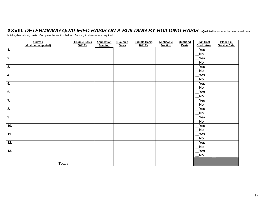### **XXVIII.** *DETERMINING QUALIFIED BASIS ON A BUILDING BY BUILDING BASIS* (Qualified basis must be determined on a

building-by-building basis. Complete the section below. Building Addresses are required.

| <b>Address</b><br>(Must be completed) | <b>Eligible Basis</b><br>30% PV | <b>Application</b><br><b>Fraction</b> | Qualified<br><b>Basis</b> | <b>Eligible Basis</b><br>70% PV | <b>Applicable</b><br><b>Fraction</b> | Qualified<br><b>Basis</b> | <b>High Cost</b><br><b>Credit Area</b> | <b>Placed in</b><br><b>Service Date</b> |
|---------------------------------------|---------------------------------|---------------------------------------|---------------------------|---------------------------------|--------------------------------------|---------------------------|----------------------------------------|-----------------------------------------|
| $\mathbf{1}$ .                        |                                 |                                       |                           |                                 |                                      |                           | Yes                                    |                                         |
|                                       |                                 |                                       |                           |                                 |                                      |                           | No_                                    |                                         |
| $\overline{2}$                        |                                 |                                       |                           |                                 |                                      |                           | Yes                                    |                                         |
|                                       |                                 |                                       |                           |                                 |                                      |                           | No_                                    |                                         |
| $\overline{3}$ .                      |                                 |                                       |                           |                                 |                                      |                           | Yes                                    |                                         |
|                                       |                                 |                                       |                           |                                 |                                      |                           | No_                                    |                                         |
| $\overline{4}$                        |                                 |                                       |                           |                                 |                                      |                           | Yes                                    |                                         |
|                                       |                                 |                                       |                           |                                 |                                      |                           | _No                                    |                                         |
| $\overline{5}$                        |                                 |                                       |                           |                                 |                                      |                           | Yes                                    |                                         |
|                                       |                                 |                                       |                           |                                 |                                      |                           | No_                                    |                                         |
| $\overline{6}$ .                      |                                 |                                       |                           |                                 |                                      |                           | Yes                                    |                                         |
|                                       |                                 |                                       |                           |                                 |                                      |                           | No_                                    |                                         |
| $\overline{7}$                        |                                 |                                       |                           |                                 |                                      |                           | Yes                                    |                                         |
|                                       |                                 |                                       |                           |                                 |                                      |                           | No_                                    |                                         |
| $\overline{8}$ .                      |                                 |                                       |                           |                                 |                                      |                           | Yes                                    |                                         |
|                                       |                                 |                                       |                           |                                 |                                      |                           | No_                                    |                                         |
| $\overline{9}$                        |                                 |                                       |                           |                                 |                                      |                           | Yes                                    |                                         |
|                                       |                                 |                                       |                           |                                 |                                      |                           | _No                                    |                                         |
| 10.                                   |                                 |                                       |                           |                                 |                                      |                           | Yes                                    |                                         |
|                                       |                                 |                                       |                           |                                 |                                      |                           | No_                                    |                                         |
| $\overline{11}$ .                     |                                 |                                       |                           |                                 |                                      |                           | Yes                                    |                                         |
|                                       |                                 |                                       |                           |                                 |                                      |                           | <b>No</b>                              |                                         |
| 12.                                   |                                 |                                       |                           |                                 |                                      |                           | Yes                                    |                                         |
|                                       |                                 |                                       |                           |                                 |                                      |                           | _No                                    |                                         |
| $\overline{13}$ .                     |                                 |                                       |                           |                                 |                                      |                           | Yes                                    |                                         |
|                                       |                                 |                                       |                           |                                 |                                      |                           | No_                                    |                                         |
|                                       |                                 |                                       |                           |                                 |                                      |                           |                                        |                                         |
| <b>Totals</b>                         |                                 |                                       |                           |                                 |                                      |                           |                                        |                                         |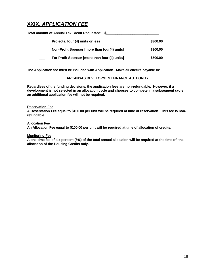### **XXIX.** *APPLICATION FEE*

**Total amount of Annual Tax Credit Requested: \$\_\_\_\_\_\_\_\_\_\_\_\_\_\_\_\_\_\_\_\_\_\_\_\_\_\_\_\_**

| Projects, four (4) units or less              | \$300.00 |
|-----------------------------------------------|----------|
| Non-Profit Sponsor [more than four(4) units]  | \$300.00 |
| For Profit Sponsor [more than four (4) units] | \$500.00 |

**The Application fee must be included with Application. Make all checks payable to:**

#### **ARKANSAS DEVELOPMENT FINANCE AUTHORITY**

**Regardless of the funding decisions, the application fees are non-refundable. However, if a development is not selected in an allocation cycle and chooses to compete in a subsequent cycle an additional application fee will not be required.**

#### **Reservation Fee**

**A Reservation Fee equal to \$100.00 per unit will be required at time of reservation. This fee is nonrefundable.**

#### **Allocation Fee**

**An Allocation Fee equal to \$100.00 per unit will be required at time of allocation of credits.**

#### **Monitoring Fee**

**A one-time fee of six percent (6%) of the total annual allocation will be required at the time of the allocation of the Housing Credits only.**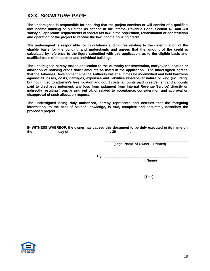### **XXX.** *SIGNATURE PAGE*

**The undersigned is responsible for ensuring that the project consists or will consist of a qualified low income building or buildings as defined in the Internal Revenue Code, Section 42, and will satisfy all applicable requirements of federal tax law in the acquisition, rehabilitation or construction and operation of the project to receive the low income housing credit.**

**The undersigned is responsible for calculations and figures relating to the determination of the eligible basis for the building and understands and agrees that the amount of the credit is calculated by reference to the figure submitted with this application, as to the eligible basis and qualified basis of the project and individual buildings.**

**The undersigned hereby makes application to the Authority for reservation, carryover allocation or allocation of housing credit dollar amounts as listed in the application. The undersigned agrees that the Arkansas Development Finance Authority will at all times be indemnified and held harmless against all losses, costs, damages, expenses and liabilities whatsoever nature or king (including, but not limited to attorney's fees, ligation and court costs, amounts paid in settlement and amounts paid to discharge judgment, any loss from judgment from Internal Revenue Service) directly or indirectly resulting from, arising out of, or related to acceptance, consideration and approval or disapproval of such allocation request.**

**The undersigned being duly authorized, hereby represents and certifies that the foregoing information, to the best of his/her knowledge, is true, complete and accurately describes the proposed project.**

**IN WITNESS WHEREOF, the owner has caused this document to be duly executed in its name on the \_\_\_\_\_\_\_\_\_\_\_\_\_ day of \_\_\_\_\_\_\_\_\_\_\_\_\_\_\_\_\_\_\_\_\_\_, 20 \_\_\_\_\_\_\_.**

**(Legal Name of Owner – Printed)**

**\_\_\_\_\_\_\_\_\_\_\_\_\_\_\_\_\_\_\_\_\_\_\_\_\_\_\_\_\_\_\_\_\_\_\_\_\_\_\_\_\_\_\_\_\_**

**By: \_\_\_\_\_\_\_\_\_\_\_\_\_\_\_\_\_\_\_\_\_\_\_\_\_\_\_\_\_\_\_\_\_\_\_\_\_\_\_\_\_\_\_\_\_**

 **(Name)**

 **(Title)**

**\_\_\_\_\_\_\_\_\_\_\_\_\_\_\_\_\_\_\_\_\_\_\_\_\_\_\_\_\_\_\_\_\_\_\_\_\_\_\_\_\_\_\_\_\_\_**

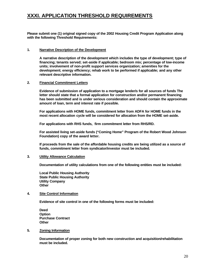### **XXXI. APPLICATION THRESHOLD REQUIREMENTS**

**Please submit one (1) original signed copy of the 2002 Housing Credit Program Application along with the following Threshold Requirements:**

#### **1. Narrative Description of the Development**

**A narrative description of the development which includes the type of development; type of financing; tenants served; set-aside if applicable; bedroom mix; percentage of low-income units; involvement of non-profit support services organization; amenities for the development; energy efficiency; rehab work to be performed if applicable; and any other relevant descriptive information.**

#### **2. Financial Commitment Letters**

**Evidence of submission of application to a mortgage lender/s for all sources of funds The letter should state that a formal application for construction and/or permanent financing has been submitted and is under serious consideration and should contain the approximate amount of loan, term and interest rate if possible.**

**For applications with HOME funds, commitment letter from ADFA for HOME funds in the most recent allocation cycle will be considered for allocation from the HOME set-aside.**

**For applications with RHS funds, firm commitment letter from RHS/RD.**

**For assisted living set-aside funds ("Coming Home" Program of the Robert Wood Johnson Foundation) copy of the award letter.**

**If proceeds from the sale of the affordable housing credits are being utilized as a source of funds, commitment letter from syndicator/investor must be included.**

#### **3. Utility Allowance Calculation**

**Documentation of utility calculations from one of the following entities must be included:**

**Local Public Housing Authority State Public Housing Authority Utility Company Other**

#### **4. Site Control Information**

**Evidence of site control in one of the following forms must be included:**

**Deed Option Purchase Contract Other**

#### **5. Zoning Information**

**Documentation of proper zoning for both new construction and acquisition/rehabilitation must be included.**